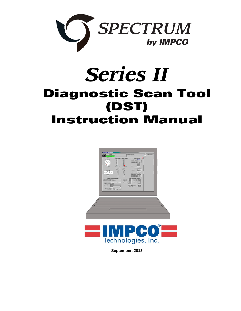

# *Series II*  **Diagnostic Scan Tool (DST) Instruction Manual**





**September, 2013**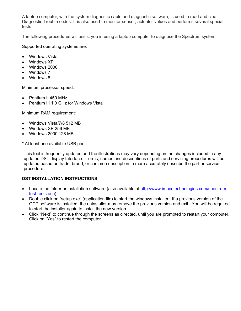A laptop computer, with the system diagnostic cable and diagnostic software, is used to read and clear Diagnostic Trouble codes. It is also used to monitor sensor, actuator values and performs several special tests.

The following procedures will assist you in using a laptop computer to diagnose the Spectrum system:

Supported operating systems are:

- Windows Vista
- Windows XP
- Windows 2000
- Windows 7
- Windows 8

Minimum processor speed:

- Pentium II 450 MHz
- Pentium III 1.0 GHz for Windows Vista

Minimum RAM requirement:

- Windows Vista/7/8 512 MB
- Windows XP 256 MB
- Windows 2000 128 MB

\* At least one available USB port.

This tool is frequently updated and the illustrations may vary depending on the changes included in any updated DST display Interface. Terms, names and descriptions of parts and servicing procedures will be updated based on trade, brand, or common description to more accurately describe the part or service procedure.

# **DST INSTALLATION INSTRUCTIONS**

- Locate the folder or installation software (also available at http://www.impcotechnologies.com/spectrumtest-tools.asp)
- Double click on "setup.exe" (application file) to start the windows installer. If a previous version of the GCP software is installed, the uninstaller may remove the previous version and exit. You will be required to start the installer again to install the new version.
- Click "Next" to continue through the screens as directed, until you are prompted to restart your computer. Click on "Yes" to restart the computer.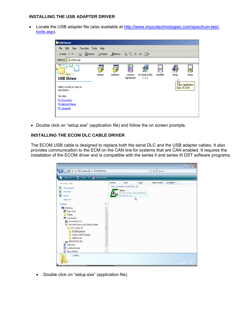#### **INSTALLING THE USB ADAPTER DRIVER**

 Locate the USB adapter file (also available at http://www.impcotechnologies.com/spectrum-testtools.asp).



• Double click on "setup.exe" (application file) and follow the on screen prompts.

#### **INSTALLING THE ECOM DLC CABLE DRIVER**

The ECOM USB cable is designed to replace both the serial DLC and the USB adapter cables. It also provides communication to the ECM on the CAN line for systems that are CAN enabled. It requires the installation of the ECOM driver and is compatible with the series II and series III DST software programs.



Double click on "setup.exe" (application file).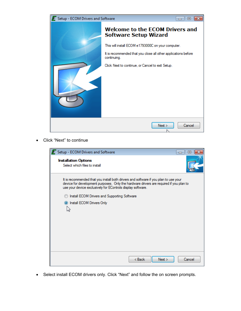

Click "Next" to continue

| <b>E</b> Setup - ECOM Drivers and Software                                                                                                                                                                                                    | 回<br>— I |
|-----------------------------------------------------------------------------------------------------------------------------------------------------------------------------------------------------------------------------------------------|----------|
| <b>Installation Options</b><br>Select which files to install                                                                                                                                                                                  |          |
| It is recommended that you install both drivers and software if you plan to use your<br>device for development purposes. Only the hardware drivers are required if you plan to<br>use your device exclusively for EControls display software. |          |
| Install ECOM Drivers and Supporting Software                                                                                                                                                                                                  |          |
| <sup>O</sup> Install ECOM Drivers Only                                                                                                                                                                                                        |          |
|                                                                                                                                                                                                                                               |          |
| Next<br>< Back                                                                                                                                                                                                                                | Cancel   |

Select install ECOM drivers only. Click "Next" and follow the on screen prompts.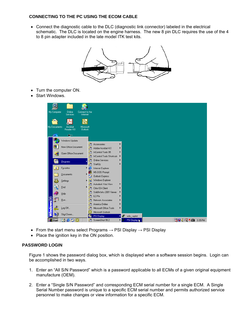### **CONNECTING TO THE PC USING THE ECOM CABLE**

 Connect the diagnostic cable to the DLC (diagnostic link connector) labeled in the electrical schematic. The DLC is located on the engine harness. The new 8 pin DLC requires the use of the 4 to 8 pin adapter included in the late model ITK test kits.



- Turn the computer ON.
- Start Windows.

| 6<br>diana<br>My Computer | Online<br>Connect to the<br>Services<br>Internet<br>ලු $\overline{\mathbf{r}}$ |                              |                                                        |        |                  |  |                  |  |
|---------------------------|--------------------------------------------------------------------------------|------------------------------|--------------------------------------------------------|--------|------------------|--|------------------|--|
| My Documents              | Acrobat<br>Microsoft<br>Reader 4.0<br><b>Outlook</b>                           |                              |                                                        |        |                  |  |                  |  |
|                           | $\Leftarrow$                                                                   |                              |                                                        |        |                  |  |                  |  |
| 50                        | Windows Update                                                                 |                              |                                                        |        |                  |  |                  |  |
| ▓▓                        | New Office Document                                                            | 匾<br>ها                      | Accessories<br>Adobe Acrobat 4.0                       | ١<br>٠ |                  |  |                  |  |
| 嚼                         | Open Office Document                                                           | G<br>G                       | InControl Tools 95<br><b>InControl Tools Shortcuts</b> |        |                  |  |                  |  |
| 984                       | Programs                                                                       | G<br>G                       | <b>Online Services</b><br>StartUp                      |        |                  |  |                  |  |
| *                         | Favorites<br>۱                                                                 | œ                            | Internet Explorer                                      |        |                  |  |                  |  |
| œ.                        | Documents                                                                      | r.                           | MS-DOS Prompt<br>Outlook Express                       |        |                  |  |                  |  |
| 尉                         | ×<br>Settings                                                                  | Q                            | Windows Explorer                                       |        |                  |  |                  |  |
| ų                         | <b>Find</b><br>٠                                                               | l <sub>a</sub><br><b>Fax</b> | Autodesk Volo View<br>Citrix ICA Client                |        |                  |  |                  |  |
|                           | Help                                                                           | 匾<br>扁                       | SolidWorks 2001 Viewer<br>EZ-Pix                       |        |                  |  |                  |  |
| 齊                         | Run                                                                            | l <sub>sa</sub>              | Network Associates                                     |        |                  |  |                  |  |
| <b>ndows98</b><br>S       | Log Off                                                                        | ÷<br>l a                     | America Online<br>Microsoft Office Tools               | ▶      |                  |  |                  |  |
| 国                         | Shut Down                                                                      | Θ<br>r,                      | Microsoft Outlook<br>PSI Display                       | ь      | edis_saplot<br>Æ |  |                  |  |
| e <mark>r</mark> Start    | 噏<br>Ю<br>e<br>Ø                                                               | G                            | ScreenShot 99.2                                        |        | PSI Display      |  | PRVI€Q♦ ® 335 PM |  |

- From the start menu select Programs  $\rightarrow$  PSI Display  $\rightarrow$  PSI Display
- Place the ignition key in the ON position.

#### **PASSWORD LOGIN**

Figure 1 shows the password dialog box, which is displayed when a software session begins. Login can be accomplished in two ways.

- 1. Enter an "All S/N Password" which is a password applicable to all ECMs of a given original equipment manufacture (OEM).
- 2. Enter a "Single S/N Password" and corresponding ECM serial number for a single ECM. A Single Serial Number password is unique to a specific ECM serial number and permits authorized service personnel to make changes or view information for a specific ECM.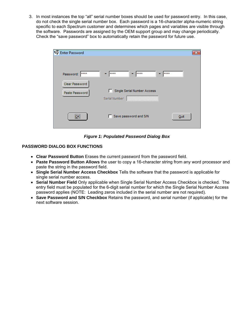3. In most instances the top "all" serial number boxes should be used for password entry. In this case, do not check the single serial number box. Each password is a 16-character alpha-numeric string specific to each Spectrum customer and determines which pages and variables are visible through the software. Passwords are assigned by the OEM support group and may change periodically. Check the "save password" box to automatically retain the password for future use.

| <b>W</b> Enter Password          |                                              | $\overline{\mathbf{x}}$ |
|----------------------------------|----------------------------------------------|-------------------------|
| Password: ****                   | ****<br>****                                 | ****                    |
| Clear Password<br>Paste Password | Single Serial Number Access<br>Serial Number |                         |
| ,,,,,,,,,<br>QK                  | Save password and S/N<br>- 11                | Quit                    |

*Figure 1: Populated Password Dialog Box* 

# **PASSWORD DIALOG BOX FUNCTIONS**

- **Clear Password Button** Erases the current password from the password field.
- **Paste Password Button Allows** the user to copy a 16-character string from any word processor and paste the string in the password field.
- **Single Serial Number Access Checkbox** Tells the software that the password is applicable for single serial number access.
- **Serial Number Field** Only applicable when Single Serial Number Access Checkbox is checked. The entry field must be populated for the 6-digit serial number for which the Single Serial Number Access password applies (NOTE: Leading zeros included in the serial number are not required).
- **Save Password and S/N Checkbox** Retains the password, and serial number (if applicable) for the next software session.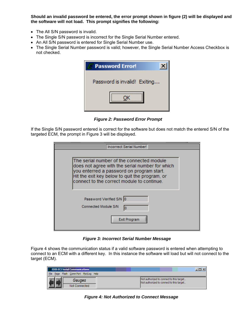**Should an invalid password be entered, the error prompt shown in figure (2) will be displayed and the software will not load. This prompt signifies the following:** 

- The All S/N password is invalid.
- The Single S/N password is incorrect for the Single Serial Number entered.
- An All S/N password is entered for Single Serial Number use.
- The Single Serial Number password is valid; however, the Single Serial Number Access Checkbox is not checked.

| <b>Password Error!</b>       |  |
|------------------------------|--|
| Password is invalid! Exiting |  |
|                              |  |
|                              |  |
|                              |  |

 *Figure 2: Password Error Prompt* 

If the Single S/N password entered is correct for the software but does not match the entered S/N of the targeted ECM, the prompt in Figure 3 will be displayed.

| Incorrect Serial Number!                                                                                                                                                                                                                  |  |
|-------------------------------------------------------------------------------------------------------------------------------------------------------------------------------------------------------------------------------------------|--|
|                                                                                                                                                                                                                                           |  |
| The serial number of the connected module<br>does not agree with the serial number for which<br>you enterred a password on program start.<br>Hit the exit key below to quit the program, or<br>connect to the correct module to continue. |  |
| Password Verified S/N 0<br><b>Connected Module S/N</b><br>l0<br><b>Exit Program</b>                                                                                                                                                       |  |

*Figure 3: Incorrect Serial Number Message* 

Figure 4 shows the communication status if a valid software password is entered when attempting to connect to an ECM with a different key. In this instance the software will load but will not connect to the target (ECM).

| <b>EDIS ECI Serial Communications</b>      | . 미 ×                                                                                |
|--------------------------------------------|--------------------------------------------------------------------------------------|
| Page Flash Comm Port Plot/Log Help<br>File |                                                                                      |
| Gauges<br>Not Connected                    | Not authorized to connect to this target<br>Not authorized to connect to this target |

*Figure 4: Not Authorized to Connect Message*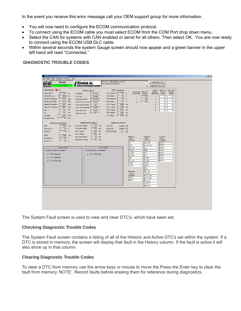In the event you receive this error message call your OEM support group for more information.

- You will now need to configure the ECOM communication protocol.
- To connect using the ECOM cable you must select ECOM from the COM Port drop down menu.
- Select the CAN for systems with CAN enabled or serial for all others. Then select OK. You are now ready to connect using the ECOM USB DLC cable.
- Within several seconds the system Gauge screen should now appear and a green banner in the upper left hand will read "Connected."

## **DIAGNOSTIC TROUBLE CODES**

| <b>EDIS ECI Serial Communications</b>              |                                                                                                                                      | H                                                         |
|----------------------------------------------------|--------------------------------------------------------------------------------------------------------------------------------------|-----------------------------------------------------------|
| Page Flash Comm Port Plot/Log Help<br>Eile         |                                                                                                                                      |                                                           |
| Faults<br>Connected                                | Link error - attempting reconnect<br>∸<br>EControls, Inc.<br>Ecutoi ad internation specialiste<br>Connected at 19200 bps<br>Ħ        | Toggle Page - F9<br>Toggle Test Cell - F10                |
| Fault Access MIL                                   | <b>DBW Variables</b><br>Injector<br><b>System States</b>                                                                             | Injector-on<br>Injector-off                               |
| Engine Speed<br>1401<br>rpm                        | Coil Number Spark Coil<br>Number<br>TPS command<br>0.0<br>$\boldsymbol{\gamma}$<br>Run Mode<br>(firing order)<br>dwell ms<br>Running | low-side<br>low-side<br>(firing order) voltage<br>voltage |
| Manifold Pressure<br>4.95<br>psia                  | TPS position<br>0.1<br>$\%$<br>Fuel Type<br>Gasoline<br>4.24<br>$\mathbf{1}$<br>1                                                    | 0.2<br>14.0                                               |
| Coolant Temperature<br>195.0<br>deg F              | FPP command<br>0.0<br>$\boldsymbol{\mathcal{U}}$<br>4.24<br>Fuel Control Mode<br>CL Active<br>$\overline{c}$<br>$\overline{c}$       | 0.1<br>14.5                                               |
| Cylinder Head Temp<br>deg F<br>195.0               | $\boldsymbol{\mathcal{U}}$<br>FPP position<br>0.0<br>$\overline{3}$<br>0.00<br>$\overline{3}$<br>Governor switch state<br>Gov3       | $\overline{0.1}$<br>14.5                                  |
| Manifold Temperature<br>107.5<br>deg F             | TPS1 voltage<br>0.484<br>volts<br>Active governor type<br>$\overline{4}$<br>Min                                                      | 0.2<br>14.5                                               |
| Intake Air Temperature<br>106.7<br>deg F           | TPS2 voltage<br>4.477<br>volts<br>5<br>Active governor mode<br>Droop                                                                 | 0.0<br>0.0                                                |
| 13.9<br>volts<br>Vbat                              | FPP1 voltage<br>0.442<br>volts<br>£.<br>Brake input level<br>Open                                                                    | 0.0<br>0.0                                                |
| volts<br>13.7<br>Vsw                               | FPP2 voltage<br>0.000<br>volts<br>0K<br>Oil pressure state                                                                           |                                                           |
| 2.843<br>hours<br>Hour meter                       | $5.000$ volts<br>IVS voltage                                                                                                         |                                                           |
| $\overline{13}$<br>Cumulative starts<br>starts     |                                                                                                                                      |                                                           |
| Closed-Loop Control                                | Digital Input Voltages<br>Diagnostic Modes                                                                                           |                                                           |
| EG01<br>0.592<br>volts                             | Fuel select voltage<br>$10.4$ volts<br>Normal<br>Spark kill<br>$\overline{\phantom{a}}$                                              |                                                           |
| $\overline{1.2}$<br>$\%$<br>Closed-loop 1          | Fuel pump voltage<br>13.8<br>volts<br>Injector kill<br>Normal<br>$\overline{\phantom{a}}$                                            |                                                           |
| $\%$<br>0.0<br>Adaptive 1                          | Gov1 voltage<br>20.6<br>DBW test mode<br>Off<br>$\overline{\phantom{a}}$<br>volts                                                    |                                                           |
|                                                    | Gov2 voltage<br>20.6<br>volts                                                                                                        |                                                           |
| EG02<br>0.452<br>volts                             | SnapShot<br>Overspeed voltage<br>Flight Data<br>5.0<br>volts                                                                         | SnapShot                                                  |
| $\boldsymbol{\mathcal{U}}$<br>Closed-loop 2<br>0.0 | Base<br>Base<br>Oil pressure voltage<br>5.0<br>volts<br>Definitions<br>Definitions                                                   | Custom<br>Definitions                                     |
| 0.0 x<br>Adaptive 2                                | fuel_state<br>rpm                                                                                                                    | EMPTY                                                     |
|                                                    | MAP<br>run_tmr_sec                                                                                                                   | EMPTY                                                     |
| <b>Historic Faults</b>                             | FPP_pct<br><b>Active Faults</b><br>rpm                                                                                               | <b>EMPTY</b>                                              |
| Double click fault for information                 | <b>MAP</b><br>TPS_pct<br>Double click fault for information                                                                          | <b>EMPTY</b>                                              |
| H<br>MAP voltage low                               | CL_BM1<br>ECT<br>ECT voltage high<br><b>HAT</b><br>CL BM2                                                                            | <b>EMPTY</b><br>EMPTY                                     |
| $\overline{\phantom{a}}$<br>IAT voltage high       | CL BM1<br>Vbat                                                                                                                       | <b>EMPTY</b>                                              |
| $\vert \cdot \vert$<br>ECT voltage high            | CL BM2<br>PW_avg                                                                                                                     | <b>EMPTY</b>                                              |
|                                                    | A BM1<br>A_BM1                                                                                                                       |                                                           |
|                                                    | A BM2<br>A_BM2                                                                                                                       |                                                           |
|                                                    | Vbat                                                                                                                                 |                                                           |
|                                                    | FPP_pct<br>Flight Data<br>TPS_pct<br>Custom                                                                                          |                                                           |
|                                                    | Definitions<br>EGO1 volts                                                                                                            |                                                           |
|                                                    | <b>EMPTY</b><br>EGO2 volts                                                                                                           |                                                           |
|                                                    | <b>EMPTY</b><br>Pw_avg                                                                                                               |                                                           |
|                                                    | TRIM_DC                                                                                                                              |                                                           |
|                                                    | HM_hours                                                                                                                             |                                                           |
|                                                    |                                                                                                                                      |                                                           |
|                                                    |                                                                                                                                      |                                                           |
|                                                    |                                                                                                                                      |                                                           |
|                                                    |                                                                                                                                      |                                                           |
|                                                    |                                                                                                                                      |                                                           |
|                                                    |                                                                                                                                      |                                                           |
|                                                    |                                                                                                                                      |                                                           |
|                                                    |                                                                                                                                      |                                                           |

The System Fault screen is used to view and clear DTC's, which have been set.

#### **Checking Diagnostic Trouble Codes**

The System Fault screen contains a listing of all of the Historic and Active DTC's set within the system. If a DTC is stored in memory, the screen will display that fault in the History column. If the fault is active it will also show up in that column.

#### **Clearing Diagnostic Trouble Codes**

To clear a DTC from memory use the arrow keys or mouse to move the Press the Enter key to clear the fault from memory. NOTE: Record faults before erasing them for reference during diagnostics.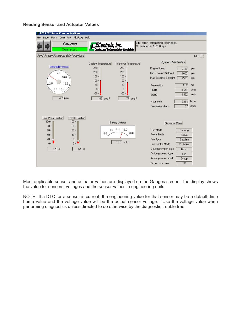#### **Reading Sensor and Actuator Values**



Most applicable sensor and actuator values are displayed on the Gauges screen. The display shows the value for sensors, voltages and the sensor values in engineering units.

NOTE: If a DTC for a sensor is current, the engineering value for that sensor may be a default, limp home value and the voltage value will be the actual sensor voltage. Use the voltage value when performing diagnostics unless directed to do otherwise by the diagnostic trouble tree.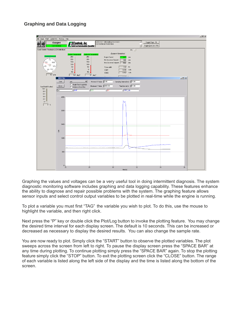# **Graphing and Data Logging**



Graphing the values and voltages can be a very useful tool in doing intermittent diagnosis. The system diagnostic monitoring software includes graphing and data logging capability. These features enhance the ability to diagnose and repair possible problems with the system. The graphing feature allows sensor inputs and select control output variables to be plotted in real-time while the engine is running.

To plot a variable you must first "TAG" the variable you wish to plot. To do this, use the mouse to highlight the variable, and then right click.

Next press the "P" key or double click the Plot/Log button to invoke the plotting feature. You may change the desired time interval for each display screen. The default is 10 seconds. This can be increased or decreased as necessary to display the desired results. You can also change the sample rate.

You are now ready to plot. Simply click the "START" button to observe the plotted variables. The plot sweeps across the screen from left to right. To pause the display screen press the "SPACE BAR" at any time during plotting. To continue plotting simply press the "SPACE BAR" again. To stop the plotting feature simply click the "STOP" button. To exit the plotting screen click the "CLOSE" button. The range of each variable is listed along the left side of the display and the time is listed along the bottom of the screen.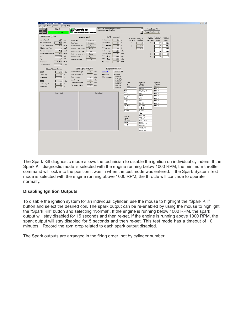

The Spark Kill diagnostic mode allows the technician to disable the ignition on individual cylinders. If the Spark Kill diagnostic mode is selected with the engine running below 1000 RPM, the minimum throttle command will lock into the position it was in when the test mode was entered. If the Spark System Test mode is selected with the engine running above 1000 RPM, the throttle will continue to operate normally.

# **Disabling Ignition Outputs**

To disable the ignition system for an individual cylinder, use the mouse to highlight the "Spark Kill" button and select the desired coil. The spark output can be re-enabled by using the mouse to highlight the "Spark Kill" button and selecting "Normal". If the engine is running below 1000 RPM, the spark output will stay disabled for 15 seconds and then re-set. If the engine is running above 1000 RPM, the spark output will stay disabled for 5 seconds and then re-set. This test mode has a timeout of 10 minutes. Record the rpm drop related to each spark output disabled.

The Spark outputs are arranged in the firing order, not by cylinder number.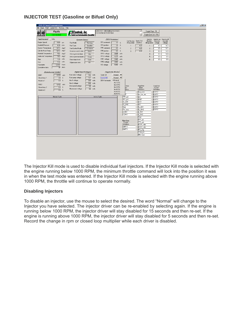# **INJECTOR TEST (Gasoline or Bifuel Only)**



The Injector Kill mode is used to disable individual fuel injectors. If the Injector Kill mode is selected with the engine running below 1000 RPM, the minimum throttle command will lock into the position it was in when the test mode was entered. If the Injector Kill mode is selected with the engine running above 1000 RPM, the throttle will continue to operate normally.

#### **Disabling Injectors**

To disable an injector, use the mouse to select the desired. The word "Normal" will change to the Injector you have selected. The injector driver can be re-enabled by selecting again. If the engine is running below 1000 RPM, the injector driver will stay disabled for 15 seconds and then re-set. If the engine is running above 1000 RPM, the injector driver will stay disabled for 5 seconds and then re-set. Record the change in rpm or closed loop multiplier while each driver is disabled.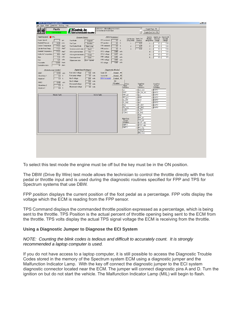| <b>EDIS ECI Serial Communications</b>           |                                                                                                                                                                                  | $\Box$ el $\times$ |
|-------------------------------------------------|----------------------------------------------------------------------------------------------------------------------------------------------------------------------------------|--------------------|
| Page Flash Comm Port Plot/Log Help<br>File      |                                                                                                                                                                                  |                    |
| Faults                                          | 国<br>Link error - attempting reconnect<br>Toggle Page - F9<br>EControls, Inc.<br>Ecutoi ad internation Specialiste<br>Connected at 19200 bps                                     |                    |
| Connected                                       | Toggle Test Cell - F10<br>눈                                                                                                                                                      |                    |
| <b>O</b> MIL<br>FaultAccess                     | <b>DBW Variables</b><br>Injector<br>Injector-on<br>Injector-off<br><b>System States</b>                                                                                          |                    |
| Engine Speed<br>$0$ rpm                         | Coil Number Spark Coil<br>Number<br>low-side<br>low-side<br>TPS command<br>0.0 x<br>Run Mode<br>dwell ms                                                                         |                    |
| Manifold Pressure<br>14.38<br>psia              | (firing order)<br>voltage<br>Stopped<br>(firing order)<br>voltage<br>TPS position<br>$\%$<br>0.1<br>Fuel Type<br>Gasoline<br>4.25<br>13.4<br>0.2<br>$\mathbf{1}$<br>$\mathbf{1}$ |                    |
| Coolant Temperature<br>113.3 deg F              | FPP command<br>$\%$<br>0.0<br>Fuel Control Mode<br>$\overline{c}$<br>4.25<br>Open Loop<br>$\overline{c}$<br>0.1<br>13.4                                                          |                    |
| Cylinder Head Temp<br>113.3<br>deg F            | 0.0<br>$\%$<br>FPP position<br>$\overline{3}$<br>0.00<br>Governor switch state<br>$\sqrt{3}$<br>0.2<br>13.4<br>Gov3                                                              |                    |
| Manifold Temperature<br>113.3<br>deg F          | TPS1 voltage<br>0.489<br>volts<br>13.4<br>Active governor type<br>0.1<br>Min<br>$\overline{4}$                                                                                   |                    |
| Intake Air Temperature<br>81.6<br>deg F         | 4.472<br>TPS2 voltage<br>volts<br>5<br>Active governor mode<br>0.0<br>0.0<br>Droop                                                                                               |                    |
| 12.8<br>volts<br>Vbat                           | FPP1 voltage<br>0.451<br>volts<br>6<br>Brake input level<br>0.0<br>0.0<br>Open                                                                                                   |                    |
| 12.5<br>volts<br>Vsw                            | FPP2 voltage<br>0.000<br>volts<br>Low - Ignored<br>Oil pressure state                                                                                                            |                    |
| Hour meter<br>12.658<br>hours                   | $5.000$ volts<br>IVS voltage                                                                                                                                                     |                    |
| Cumulative starts<br>39<br>starts               |                                                                                                                                                                                  |                    |
|                                                 |                                                                                                                                                                                  |                    |
| Closed-Loop Control                             | Digital Input Voltages<br>Diagnostic Modes                                                                                                                                       |                    |
| EG01<br>0.000<br>volts                          | Fuel select voltage<br>$10.4$ volts<br>Spark kill<br>Normal<br>▼                                                                                                                 |                    |
| $\%$<br>Closed-loop 1<br>0.0                    | Fuel pump voltage<br>0.0<br>volts<br>Injector kill<br>Normal<br>▼                                                                                                                |                    |
| $\boldsymbol{\mathcal{U}}$<br>Adaptive 1<br>0.0 | Gov1 voltage<br>DBW test model<br>20.6<br>Enabled $\blacktriangledown$<br>volts                                                                                                  |                    |
| EG02<br>0.452<br>volts                          | Off<br>Gov2 voltage<br>20.6<br>volts<br>$\vee$ Enabled                                                                                                                           |                    |
| 0.0<br>$\%$<br>Closed-loop 2                    | SnapShot<br>SnapShot<br>Overspeed voltage<br>ht Data<br>5.0<br>volts<br>Base<br>Custom<br>Base                                                                                   |                    |
| 0.0 x<br>Adaptive 2                             | Oil pressure voltage<br>0.0<br>volts<br>Definitions<br>Definitions<br>Definitions                                                                                                |                    |
|                                                 | rpm<br>fuel_state<br>EMPTY<br><b>MAP</b>                                                                                                                                         |                    |
| <b>Historic Faults</b>                          | run_tmr_sec<br><b>EMPTY</b><br>Active Faults<br>FPP_pct<br>rpm<br><b>EMPTY</b>                                                                                                   |                    |
|                                                 | TPS_pct<br>MAP<br><b>EMPTY</b>                                                                                                                                                   |                    |
|                                                 | CL BM1<br>ECT<br><b>EMPTY</b>                                                                                                                                                    |                    |
|                                                 | CL_BM2<br>rlAT<br><b>EMPTY</b>                                                                                                                                                   |                    |
|                                                 | CL BM1<br><b>Vbat</b><br>EMPTY                                                                                                                                                   |                    |
|                                                 | CL BM2<br>PW_avg<br><b>EMPTY</b>                                                                                                                                                 |                    |
|                                                 | A_BM1<br>A_BM1                                                                                                                                                                   |                    |
|                                                 | A_BM2<br>A_BM2<br>Vbat                                                                                                                                                           |                    |
|                                                 | FPP_pct                                                                                                                                                                          |                    |
|                                                 | Flight Data<br>TPS_pct<br>Custom                                                                                                                                                 |                    |
|                                                 | Definitions<br>EGO1_volts                                                                                                                                                        |                    |
|                                                 | <b>EMPTY</b><br>EGO2_volts                                                                                                                                                       |                    |
|                                                 | <b>EMPTY</b><br>PW_avg                                                                                                                                                           |                    |
|                                                 | TRIM_DC                                                                                                                                                                          |                    |
|                                                 | HM_hours                                                                                                                                                                         |                    |
|                                                 |                                                                                                                                                                                  |                    |
|                                                 |                                                                                                                                                                                  |                    |
|                                                 |                                                                                                                                                                                  |                    |
|                                                 |                                                                                                                                                                                  |                    |
|                                                 |                                                                                                                                                                                  |                    |
|                                                 |                                                                                                                                                                                  |                    |
|                                                 |                                                                                                                                                                                  |                    |
|                                                 |                                                                                                                                                                                  |                    |

To select this test mode the engine must be off but the key must be in the ON position.

The DBW (Drive By Wire) test mode allows the technician to control the throttle directly with the foot pedal or throttle input and is used during the diagnostic routines specified for FPP and TPS for Spectrum systems that use DBW.

FPP position displays the current position of the foot pedal as a percentage. FPP volts display the voltage which the ECM is reading from the FPP sensor.

TPS Command displays the commanded throttle position expressed as a percentage, which is being sent to the throttle. TPS Position is the actual percent of throttle opening being sent to the ECM from the throttle. TPS volts display the actual TPS signal voltage the ECM is receiving from the throttle.

#### **Using a Diagnostic Jumper to Diagnose the ECI System**

#### *NOTE: Counting the blink codes is tedious and difficult to accurately count. It is strongly recommended a laptop computer is used.*

If you do not have access to a laptop computer, it is still possible to access the Diagnostic Trouble Codes stored in the memory of the Spectrum system ECM using a diagnostic jumper and the Malfunction Indicator Lamp. With the key off connect the diagnostic jumper to the ECI system diagnostic connector located near the ECM. The jumper will connect diagnostic pins A and D. Turn the ignition on but do not start the vehicle. The Malfunction Indicator Lamp (MIL) will begin to flash.